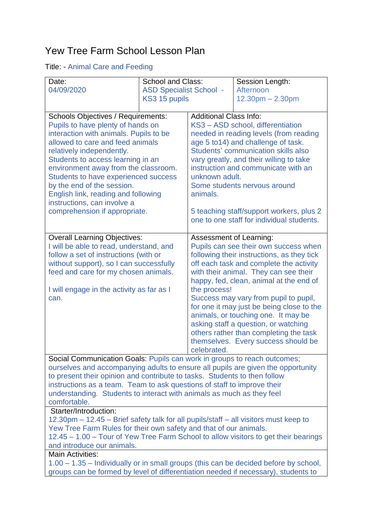## Yew Tree Farm School Lesson Plan

## Title: - Animal Care and Feeding

| Date:                                                                                                                                                         | <b>School and Class:</b>                                                           |                                                                                       | Session Length:                           |  |  |
|---------------------------------------------------------------------------------------------------------------------------------------------------------------|------------------------------------------------------------------------------------|---------------------------------------------------------------------------------------|-------------------------------------------|--|--|
| 04/09/2020                                                                                                                                                    | <b>ASD Specialist School -</b>                                                     |                                                                                       | Afternoon                                 |  |  |
|                                                                                                                                                               | KS3 15 pupils                                                                      |                                                                                       | $12.30pm - 2.30pm$                        |  |  |
|                                                                                                                                                               |                                                                                    |                                                                                       |                                           |  |  |
| <b>Schools Objectives / Requirements:</b>                                                                                                                     |                                                                                    | <b>Additional Class Info:</b>                                                         |                                           |  |  |
| Pupils to have plenty of hands on                                                                                                                             |                                                                                    | KS3 - ASD school, differentiation                                                     |                                           |  |  |
| interaction with animals. Pupils to be                                                                                                                        |                                                                                    | needed in reading levels (from reading                                                |                                           |  |  |
| allowed to care and feed animals                                                                                                                              |                                                                                    | age 5 to 14) and challenge of task.<br>Students' communication skills also            |                                           |  |  |
| relatively independently.<br>Students to access learning in an                                                                                                |                                                                                    | vary greatly, and their willing to take                                               |                                           |  |  |
| environment away from the classroom.                                                                                                                          |                                                                                    | instruction and communicate with an                                                   |                                           |  |  |
| <b>Students to have experienced success</b>                                                                                                                   |                                                                                    | unknown adult.                                                                        |                                           |  |  |
| by the end of the session.                                                                                                                                    |                                                                                    | Some students nervous around                                                          |                                           |  |  |
| English link, reading and following                                                                                                                           |                                                                                    | animals.                                                                              |                                           |  |  |
| instructions, can involve a                                                                                                                                   |                                                                                    |                                                                                       |                                           |  |  |
| comprehension if appropriate.                                                                                                                                 |                                                                                    | 5 teaching staff/support workers, plus 2                                              |                                           |  |  |
|                                                                                                                                                               |                                                                                    |                                                                                       | one to one staff for individual students. |  |  |
|                                                                                                                                                               |                                                                                    |                                                                                       |                                           |  |  |
| <b>Overall Learning Objectives:</b>                                                                                                                           |                                                                                    | Assessment of Learning:                                                               |                                           |  |  |
| follow a set of instructions (with or                                                                                                                         | I will be able to read, understand, and                                            |                                                                                       | Pupils can see their own success when     |  |  |
| without support), so I can successfully                                                                                                                       |                                                                                    | following their instructions, as they tick<br>off each task and complete the activity |                                           |  |  |
| feed and care for my chosen animals.                                                                                                                          |                                                                                    | with their animal. They can see their                                                 |                                           |  |  |
|                                                                                                                                                               |                                                                                    |                                                                                       | happy, fed, clean, animal at the end of   |  |  |
| I will engage in the activity as far as I                                                                                                                     |                                                                                    | the process!                                                                          |                                           |  |  |
| can.                                                                                                                                                          |                                                                                    |                                                                                       | Success may vary from pupil to pupil,     |  |  |
|                                                                                                                                                               |                                                                                    |                                                                                       | for one it may just be being close to the |  |  |
|                                                                                                                                                               |                                                                                    |                                                                                       | animals, or touching one. It may be       |  |  |
|                                                                                                                                                               |                                                                                    |                                                                                       | asking staff a question, or watching      |  |  |
|                                                                                                                                                               |                                                                                    |                                                                                       | others rather than completing the task    |  |  |
|                                                                                                                                                               |                                                                                    |                                                                                       | themselves. Every success should be       |  |  |
| Social Communication Goals: Pupils can work in groups to reach outcomes;                                                                                      |                                                                                    | celebrated.                                                                           |                                           |  |  |
|                                                                                                                                                               |                                                                                    |                                                                                       |                                           |  |  |
| ourselves and accompanying adults to ensure all pupils are given the opportunity<br>to present their opinion and contribute to tasks. Students to then follow |                                                                                    |                                                                                       |                                           |  |  |
| instructions as a team. Team to ask questions of staff to improve their                                                                                       |                                                                                    |                                                                                       |                                           |  |  |
| understanding. Students to interact with animals as much as they feel                                                                                         |                                                                                    |                                                                                       |                                           |  |  |
| comfortable.                                                                                                                                                  |                                                                                    |                                                                                       |                                           |  |  |
| Starter/Introduction:                                                                                                                                         |                                                                                    |                                                                                       |                                           |  |  |
| 12.30pm - 12.45 - Brief safety talk for all pupils/staff - all visitors must keep to                                                                          |                                                                                    |                                                                                       |                                           |  |  |
| Yew Tree Farm Rules for their own safety and that of our animals.                                                                                             |                                                                                    |                                                                                       |                                           |  |  |
| 12.45 – 1.00 – Tour of Yew Tree Farm School to allow visitors to get their bearings                                                                           |                                                                                    |                                                                                       |                                           |  |  |
| and introduce our animals.<br><b>Main Activities:</b>                                                                                                         |                                                                                    |                                                                                       |                                           |  |  |
| 1.00 – 1.35 – Individually or in small groups (this can be decided before by school,                                                                          |                                                                                    |                                                                                       |                                           |  |  |
|                                                                                                                                                               | groups can be formed by level of differentiation needed if necessary), students to |                                                                                       |                                           |  |  |
|                                                                                                                                                               |                                                                                    |                                                                                       |                                           |  |  |